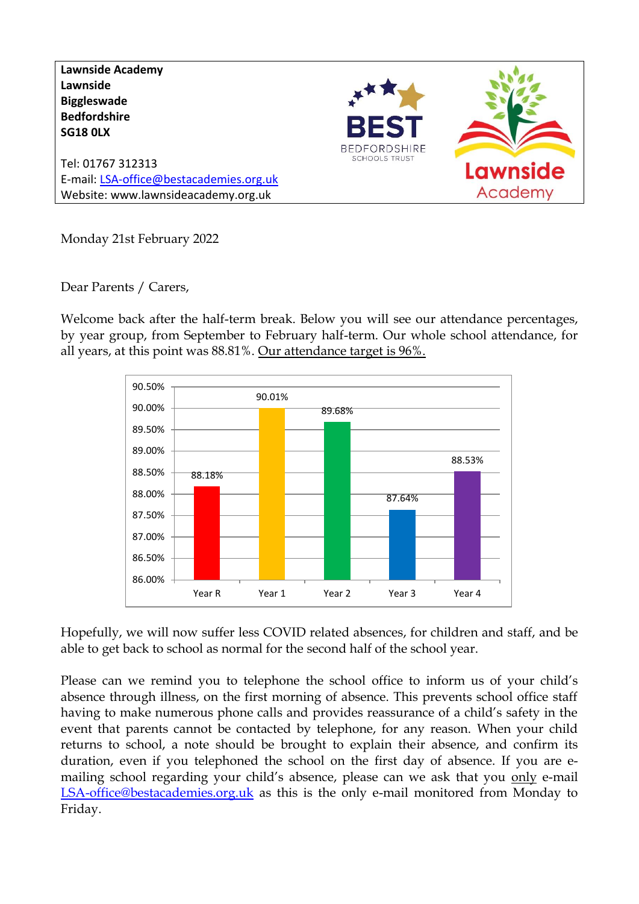**Lawnside Academy Lawnside Biggleswade Bedfordshire SG18 0LX BEDEORDSHIRE** SCHOOLS TRUS Tel: 01767 312313 Lawnside E-mail: [LSA-office@bestacademies.org.uk](mailto:LSA-office@bestacademies.org.uk) **Academy** Website: www.lawnsideacademy.org.uk

Monday 21st February 2022

## Dear Parents / Carers,

Welcome back after the half-term break. Below you will see our attendance percentages, by year group, from September to February half-term. Our whole school attendance, for all years, at this point was 88.81%. Our attendance target is 96%.



Hopefully, we will now suffer less COVID related absences, for children and staff, and be able to get back to school as normal for the second half of the school year.

Please can we remind you to telephone the school office to inform us of your child's absence through illness, on the first morning of absence. This prevents school office staff having to make numerous phone calls and provides reassurance of a child's safety in the event that parents cannot be contacted by telephone, for any reason. When your child returns to school, a note should be brought to explain their absence, and confirm its duration, even if you telephoned the school on the first day of absence. If you are emailing school regarding your child's absence, please can we ask that you only e-mail [LSA-office@bestacademies.org.uk](mailto:LSA-office@bestacademies.org.uk) as this is the only e-mail monitored from Monday to Friday.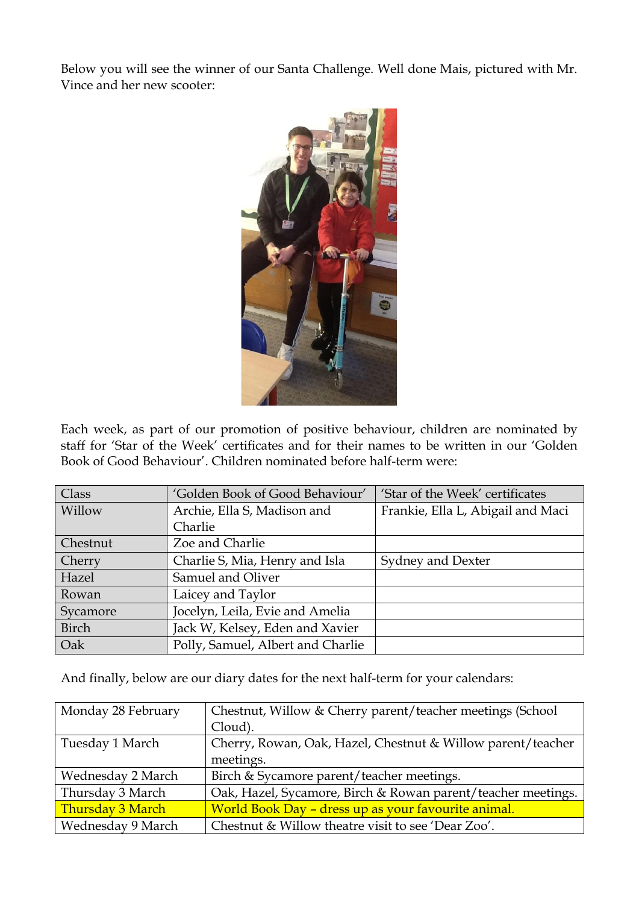Below you will see the winner of our Santa Challenge. Well done Mais, pictured with Mr. Vince and her new scooter:



Each week, as part of our promotion of positive behaviour, children are nominated by staff for 'Star of the Week' certificates and for their names to be written in our 'Golden Book of Good Behaviour'. Children nominated before half-term were:

| Class           | 'Golden Book of Good Behaviour'   | 'Star of the Week' certificates   |
|-----------------|-----------------------------------|-----------------------------------|
| Willow          | Archie, Ella S, Madison and       | Frankie, Ella L, Abigail and Maci |
|                 | Charlie                           |                                   |
| <b>Chestnut</b> | Zoe and Charlie                   |                                   |
| Cherry          | Charlie S, Mia, Henry and Isla    | Sydney and Dexter                 |
| Hazel           | Samuel and Oliver                 |                                   |
| Rowan           | Laicey and Taylor                 |                                   |
| Sycamore        | Jocelyn, Leila, Evie and Amelia   |                                   |
| Birch           | Jack W, Kelsey, Eden and Xavier   |                                   |
| Oak             | Polly, Samuel, Albert and Charlie |                                   |

And finally, below are our diary dates for the next half-term for your calendars:

| Monday 28 February      | Chestnut, Willow & Cherry parent/teacher meetings (School    |
|-------------------------|--------------------------------------------------------------|
|                         | Cloud).                                                      |
| Tuesday 1 March         | Cherry, Rowan, Oak, Hazel, Chestnut & Willow parent/teacher  |
|                         | meetings.                                                    |
| Wednesday 2 March       | Birch & Sycamore parent/teacher meetings.                    |
| Thursday 3 March        | Oak, Hazel, Sycamore, Birch & Rowan parent/teacher meetings. |
| <b>Thursday 3 March</b> | World Book Day - dress up as your favourite animal.          |
| Wednesday 9 March       | Chestnut & Willow theatre visit to see 'Dear Zoo'.           |